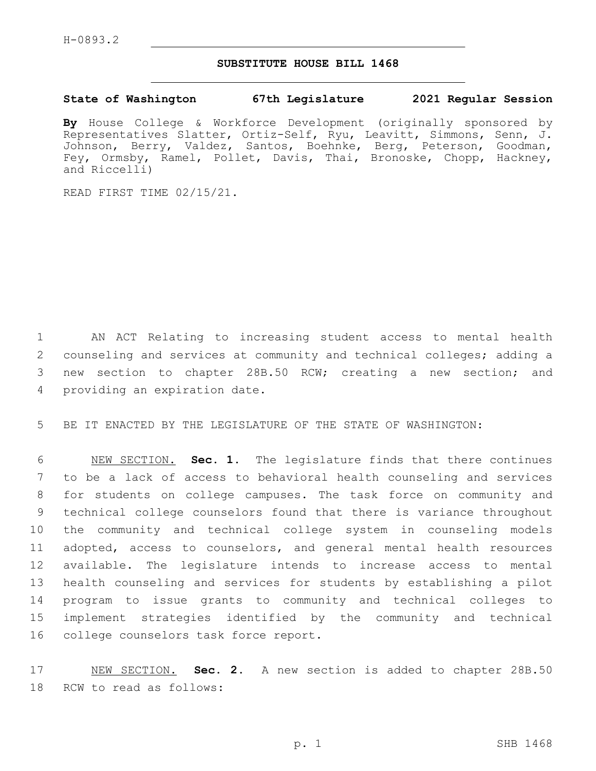## **SUBSTITUTE HOUSE BILL 1468**

## **State of Washington 67th Legislature 2021 Regular Session**

**By** House College & Workforce Development (originally sponsored by Representatives Slatter, Ortiz-Self, Ryu, Leavitt, Simmons, Senn, J. Johnson, Berry, Valdez, Santos, Boehnke, Berg, Peterson, Goodman, Fey, Ormsby, Ramel, Pollet, Davis, Thai, Bronoske, Chopp, Hackney, and Riccelli)

READ FIRST TIME 02/15/21.

 AN ACT Relating to increasing student access to mental health counseling and services at community and technical colleges; adding a new section to chapter 28B.50 RCW; creating a new section; and 4 providing an expiration date.

5 BE IT ENACTED BY THE LEGISLATURE OF THE STATE OF WASHINGTON:

 NEW SECTION. **Sec. 1.** The legislature finds that there continues to be a lack of access to behavioral health counseling and services for students on college campuses. The task force on community and technical college counselors found that there is variance throughout the community and technical college system in counseling models adopted, access to counselors, and general mental health resources available. The legislature intends to increase access to mental health counseling and services for students by establishing a pilot program to issue grants to community and technical colleges to implement strategies identified by the community and technical college counselors task force report.

17 NEW SECTION. **Sec. 2.** A new section is added to chapter 28B.50 18 RCW to read as follows: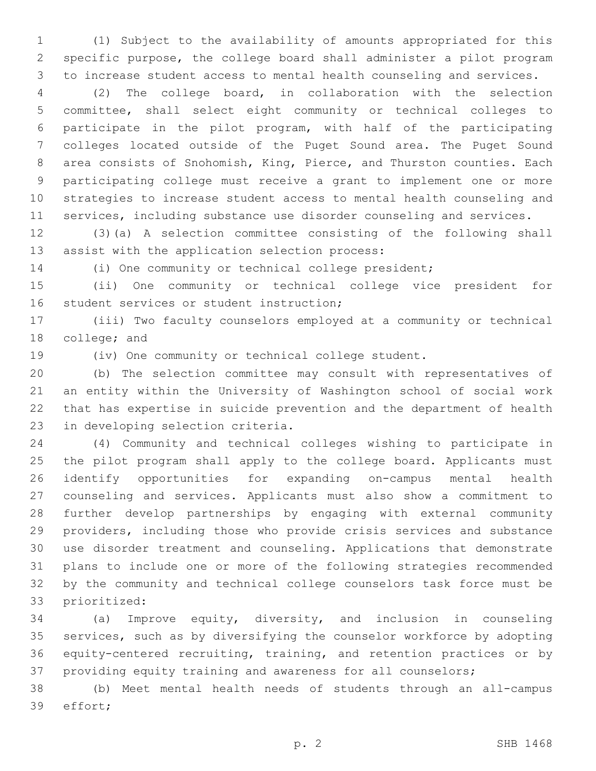(1) Subject to the availability of amounts appropriated for this specific purpose, the college board shall administer a pilot program to increase student access to mental health counseling and services.

 (2) The college board, in collaboration with the selection committee, shall select eight community or technical colleges to participate in the pilot program, with half of the participating colleges located outside of the Puget Sound area. The Puget Sound area consists of Snohomish, King, Pierce, and Thurston counties. Each participating college must receive a grant to implement one or more strategies to increase student access to mental health counseling and services, including substance use disorder counseling and services.

 (3)(a) A selection committee consisting of the following shall 13 assist with the application selection process:

(i) One community or technical college president;

 (ii) One community or technical college vice president for 16 student services or student instruction;

 (iii) Two faculty counselors employed at a community or technical 18 college; and

(iv) One community or technical college student.

 (b) The selection committee may consult with representatives of an entity within the University of Washington school of social work that has expertise in suicide prevention and the department of health 23 in developing selection criteria.

 (4) Community and technical colleges wishing to participate in the pilot program shall apply to the college board. Applicants must identify opportunities for expanding on-campus mental health counseling and services. Applicants must also show a commitment to further develop partnerships by engaging with external community providers, including those who provide crisis services and substance use disorder treatment and counseling. Applications that demonstrate plans to include one or more of the following strategies recommended by the community and technical college counselors task force must be 33 prioritized:

 (a) Improve equity, diversity, and inclusion in counseling services, such as by diversifying the counselor workforce by adopting equity-centered recruiting, training, and retention practices or by providing equity training and awareness for all counselors;

 (b) Meet mental health needs of students through an all-campus 39 effort;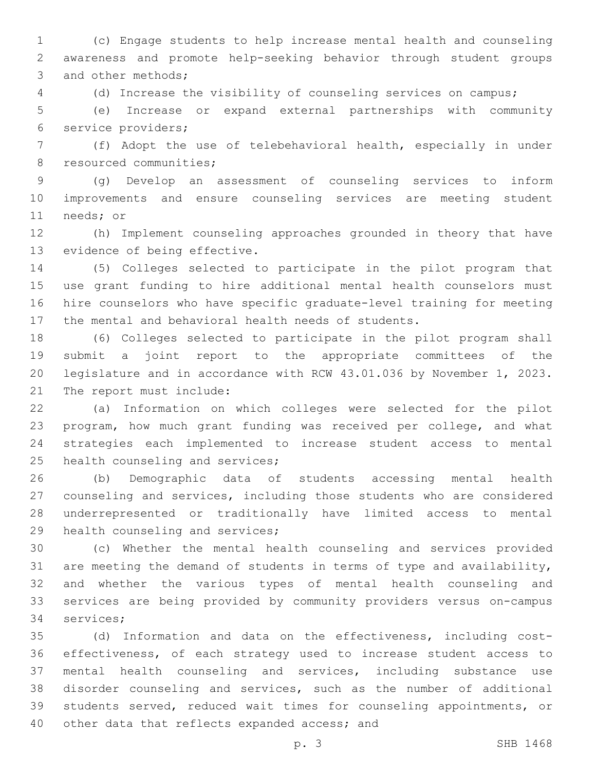(c) Engage students to help increase mental health and counseling awareness and promote help-seeking behavior through student groups 3 and other methods;

(d) Increase the visibility of counseling services on campus;

 (e) Increase or expand external partnerships with community service providers;6

 (f) Adopt the use of telebehavioral health, especially in under 8 resourced communities;

 (g) Develop an assessment of counseling services to inform improvements and ensure counseling services are meeting student 11 needs; or

 (h) Implement counseling approaches grounded in theory that have 13 evidence of being effective.

 (5) Colleges selected to participate in the pilot program that use grant funding to hire additional mental health counselors must hire counselors who have specific graduate-level training for meeting the mental and behavioral health needs of students.

 (6) Colleges selected to participate in the pilot program shall submit a joint report to the appropriate committees of the legislature and in accordance with RCW 43.01.036 by November 1, 2023. 21 The report must include:

 (a) Information on which colleges were selected for the pilot program, how much grant funding was received per college, and what strategies each implemented to increase student access to mental 25 health counseling and services;

 (b) Demographic data of students accessing mental health counseling and services, including those students who are considered underrepresented or traditionally have limited access to mental 29 health counseling and services;

 (c) Whether the mental health counseling and services provided are meeting the demand of students in terms of type and availability, and whether the various types of mental health counseling and services are being provided by community providers versus on-campus 34 services;

 (d) Information and data on the effectiveness, including cost- effectiveness, of each strategy used to increase student access to mental health counseling and services, including substance use disorder counseling and services, such as the number of additional students served, reduced wait times for counseling appointments, or 40 other data that reflects expanded access; and